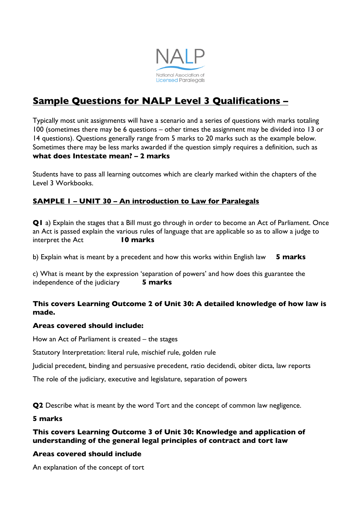

# **Sample Questions for NALP Level 3 Qualifications –**

Typically most unit assignments will have a scenario and a series of questions with marks totaling 100 (sometimes there may be 6 questions – other times the assignment may be divided into 13 or 14 questions). Questions generally range from 5 marks to 20 marks such as the example below. Sometimes there may be less marks awarded if the question simply requires a definition, such as **what does Intestate mean? – 2 marks**

Students have to pass all learning outcomes which are clearly marked within the chapters of the Level 3 Workbooks.

# **SAMPLE 1 – UNIT 30 – An introduction to Law for Paralegals**

**Q1** a) Explain the stages that a Bill must go through in order to become an Act of Parliament. Once an Act is passed explain the various rules of language that are applicable so as to allow a judge to interpret the Act **10 marks**

b) Explain what is meant by a precedent and how this works within English law **5 marks**

c) What is meant by the expression 'separation of powers' and how does this guarantee the independence of the judiciary **5 marks**

## **This covers Learning Outcome 2 of Unit 30: A detailed knowledge of how law is made.**

#### **Areas covered should include:**

How an Act of Parliament is created – the stages

Statutory Interpretation: literal rule, mischief rule, golden rule

Judicial precedent, binding and persuasive precedent, ratio decidendi, obiter dicta, law reports

The role of the judiciary, executive and legislature, separation of powers

**Q2** Describe what is meant by the word Tort and the concept of common law negligence.

#### **5 marks**

## **This covers Learning Outcome 3 of Unit 30: Knowledge and application of understanding of the general legal principles of contract and tort law**

#### **Areas covered should include**

An explanation of the concept of tort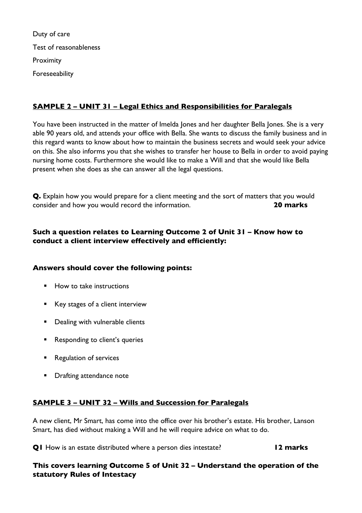Duty of care Test of reasonableness Proximity Foreseeability

# **SAMPLE 2 – UNIT 31 – Legal Ethics and Responsibilities for Paralegals**

You have been instructed in the matter of Imelda Jones and her daughter Bella Jones. She is a very able 90 years old, and attends your office with Bella. She wants to discuss the family business and in this regard wants to know about how to maintain the business secrets and would seek your advice on this. She also informs you that she wishes to transfer her house to Bella in order to avoid paying nursing home costs. Furthermore she would like to make a Will and that she would like Bella present when she does as she can answer all the legal questions.

**Q.** Explain how you would prepare for a client meeting and the sort of matters that you would consider and how you would record the information. **20 marks**

# **Such a question relates to Learning Outcome 2 of Unit 31 – Know how to conduct a client interview effectively and efficiently:**

#### **Answers should cover the following points:**

- How to take instructions
- Key stages of a client interview
- Dealing with vulnerable clients
- Responding to client's queries
- Regulation of services
- Drafting attendance note

# **SAMPLE 3 – UNIT 32 – Wills and Succession for Paralegals**

A new client, Mr Smart, has come into the office over his brother's estate. His brother, Lanson Smart, has died without making a Will and he will require advice on what to do.

**Q1** How is an estate distributed where a person dies intestate? **12 marks** 

## **This covers learning Outcome 5 of Unit 32 – Understand the operation of the statutory Rules of Intestacy**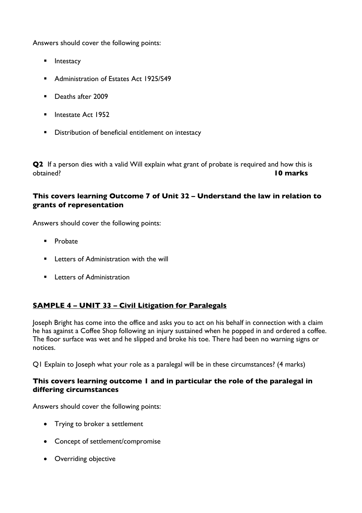Answers should cover the following points:

- Intestacy
- Administration of Estates Act 1925/S49
- Deaths after 2009
- Intestate Act 1952
- Distribution of beneficial entitlement on intestacy

**Q2** If a person dies with a valid Will explain what grant of probate is required and how this is obtained? **10 marks**

## **This covers learning Outcome 7 of Unit 32 – Understand the law in relation to grants of representation**

Answers should cover the following points:

- Probate
- Letters of Administration with the will
- Letters of Administration

# **SAMPLE 4 – UNIT 33 – Civil Litigation for Paralegals**

Joseph Bright has come into the office and asks you to act on his behalf in connection with a claim he has against a Coffee Shop following an injury sustained when he popped in and ordered a coffee. The floor surface was wet and he slipped and broke his toe. There had been no warning signs or notices.

Q1 Explain to Joseph what your role as a paralegal will be in these circumstances? (4 marks)

#### **This covers learning outcome 1 and in particular the role of the paralegal in differing circumstances**

Answers should cover the following points:

- Trying to broker a settlement
- Concept of settlement/compromise
- Overriding objective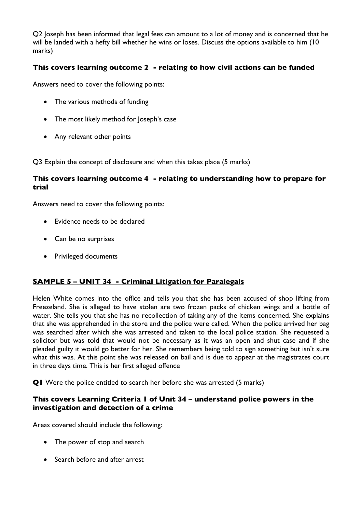Q2 Joseph has been informed that legal fees can amount to a lot of money and is concerned that he will be landed with a hefty bill whether he wins or loses. Discuss the options available to him (10 marks)

## **This covers learning outcome 2 - relating to how civil actions can be funded**

Answers need to cover the following points:

- The various methods of funding
- The most likely method for Joseph's case
- Any relevant other points

Q3 Explain the concept of disclosure and when this takes place (5 marks)

#### **This covers learning outcome 4 - relating to understanding how to prepare for trial**

Answers need to cover the following points:

- Evidence needs to be declared
- Can be no surprises
- Privileged documents

# **SAMPLE 5 – UNIT 34 - Criminal Litigation for Paralegals**

Helen White comes into the office and tells you that she has been accused of shop lifting from Freezeland. She is alleged to have stolen are two frozen packs of chicken wings and a bottle of water. She tells you that she has no recollection of taking any of the items concerned. She explains that she was apprehended in the store and the police were called. When the police arrived her bag was searched after which she was arrested and taken to the local police station. She requested a solicitor but was told that would not be necessary as it was an open and shut case and if she pleaded guilty it would go better for her. She remembers being told to sign something but isn't sure what this was. At this point she was released on bail and is due to appear at the magistrates court in three days time. This is her first alleged offence

**Q1** Were the police entitled to search her before she was arrested (5 marks)

#### **This covers Learning Criteria 1 of Unit 34 – understand police powers in the investigation and detection of a crime**

Areas covered should include the following:

- The power of stop and search
- Search before and after arrest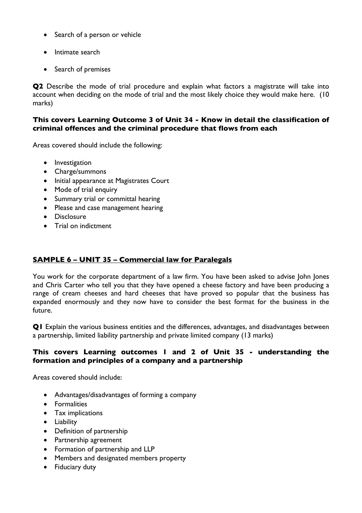- Search of a person or vehicle
- Intimate search
- Search of premises

**Q2** Describe the mode of trial procedure and explain what factors a magistrate will take into account when deciding on the mode of trial and the most likely choice they would make here. (10 marks)

#### **This covers Learning Outcome 3 of Unit 34 - Know in detail the classification of criminal offences and the criminal procedure that flows from each**

Areas covered should include the following:

- Investigation
- Charge/summons
- Initial appearance at Magistrates Court
- Mode of trial enquiry
- Summary trial or committal hearing
- Please and case management hearing
- Disclosure
- Trial on indictment

# **SAMPLE 6 – UNIT 35 – Commercial law for Paralegals**

You work for the corporate department of a law firm. You have been asked to advise John Jones and Chris Carter who tell you that they have opened a cheese factory and have been producing a range of cream cheeses and hard cheeses that have proved so popular that the business has expanded enormously and they now have to consider the best format for the business in the future.

**Q1** Explain the various business entities and the differences, advantages, and disadvantages between a partnership, limited liability partnership and private limited company (13 marks)

## **This covers Learning outcomes 1 and 2 of Unit 35 - understanding the formation and principles of a company and a partnership**

Areas covered should include:

- Advantages/disadvantages of forming a company
- Formalities
- Tax implications
- Liability
- Definition of partnership
- Partnership agreement
- Formation of partnership and LLP
- Members and designated members property
- Fiduciary duty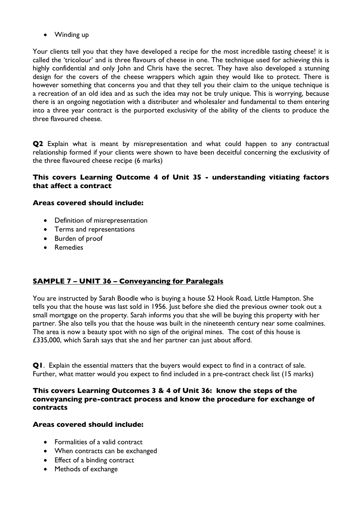• Winding up

Your clients tell you that they have developed a recipe for the most incredible tasting cheese! it is called the 'tricolour' and is three flavours of cheese in one. The technique used for achieving this is highly confidential and only John and Chris have the secret. They have also developed a stunning design for the covers of the cheese wrappers which again they would like to protect. There is however something that concerns you and that they tell you their claim to the unique technique is a recreation of an old idea and as such the idea may not be truly unique. This is worrying, because there is an ongoing negotiation with a distributer and wholesaler and fundamental to them entering into a three year contract is the purported exclusivity of the ability of the clients to produce the three flavoured cheese.

**Q2** Explain what is meant by misrepresentation and what could happen to any contractual relationship formed if your clients were shown to have been deceitful concerning the exclusivity of the three flavoured cheese recipe (6 marks)

#### **This covers Learning Outcome 4 of Unit 35 - understanding vitiating factors that affect a contract**

#### **Areas covered should include:**

- Definition of misrepresentation
- Terms and representations
- Burden of proof
- Remedies

# **SAMPLE 7 – UNIT 36 – Conveyancing for Paralegals**

You are instructed by Sarah Boodle who is buying a house 52 Hook Road, Little Hampton. She tells you that the house was last sold in 1956. Just before she died the previous owner took out a small mortgage on the property. Sarah informs you that she will be buying this property with her partner. She also tells you that the house was built in the nineteenth century near some coalmines. The area is now a beauty spot with no sign of the original mines. The cost of this house is £335,000, which Sarah says that she and her partner can just about afford.

**Q1**. Explain the essential matters that the buyers would expect to find in a contract of sale. Further, what matter would you expect to find included in a pre-contract check list (15 marks)

## **This covers Learning Outcomes 3 & 4 of Unit 36: know the steps of the conveyancing pre-contract process and know the procedure for exchange of contracts**

#### **Areas covered should include:**

- Formalities of a valid contract
- When contracts can be exchanged
- Effect of a binding contract
- Methods of exchange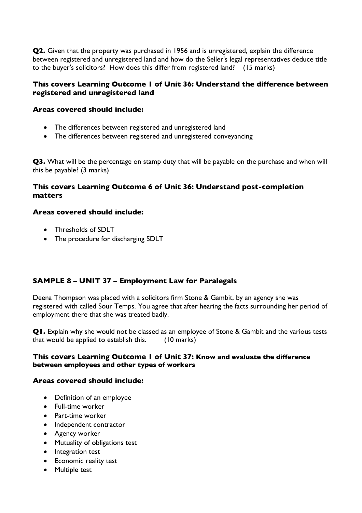**Q2.** Given that the property was purchased in 1956 and is unregistered, explain the difference between registered and unregistered land and how do the Seller's legal representatives deduce title to the buyer's solicitors? How does this differ from registered land? (15 marks)

### **This covers Learning Outcome 1 of Unit 36: Understand the difference between registered and unregistered land**

#### **Areas covered should include:**

- The differences between registered and unregistered land
- The differences between registered and unregistered conveyancing

**Q3.** What will be the percentage on stamp duty that will be payable on the purchase and when will this be payable? (3 marks)

## **This covers Learning Outcome 6 of Unit 36: Understand post-completion matters**

#### **Areas covered should include:**

- Thresholds of SDLT
- The procedure for discharging SDLT

# **SAMPLE 8 – UNIT 37 – Employment Law for Paralegals**

Deena Thompson was placed with a solicitors firm Stone & Gambit, by an agency she was registered with called Sour Temps. You agree that after hearing the facts surrounding her period of employment there that she was treated badly.

**Q1.** Explain why she would not be classed as an employee of Stone & Gambit and the various tests that would be applied to establish this. (10 marks)

#### **This covers Learning Outcome 1 of Unit 37: Know and evaluate the difference between employees and other types of workers**

#### **Areas covered should include:**

- Definition of an employee
- Full-time worker
- Part-time worker
- Independent contractor
- Agency worker
- Mutuality of obligations test
- Integration test
- Economic reality test
- Multiple test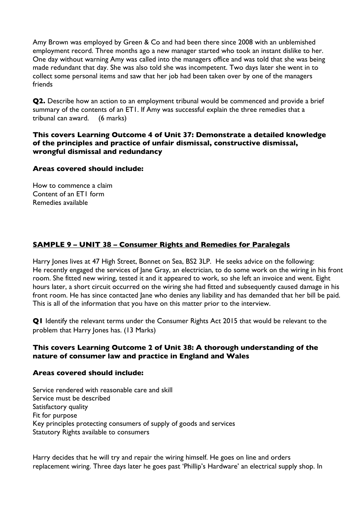Amy Brown was employed by Green & Co and had been there since 2008 with an unblemished employment record. Three months ago a new manager started who took an instant dislike to her. One day without warning Amy was called into the managers office and was told that she was being made redundant that day. She was also told she was incompetent. Two days later she went in to collect some personal items and saw that her job had been taken over by one of the managers friends

**Q2.** Describe how an action to an employment tribunal would be commenced and provide a brief summary of the contents of an ET1. If Amy was successful explain the three remedies that a tribunal can award. (6 marks)

## **This covers Learning Outcome 4 of Unit 37: Demonstrate a detailed knowledge of the principles and practice of unfair dismissal, constructive dismissal, wrongful dismissal and redundancy**

#### **Areas covered should include:**

How to commence a claim Content of an FT1 form Remedies available

# **SAMPLE 9 – UNIT 38 – Consumer Rights and Remedies for Paralegals**

Harry Jones lives at 47 High Street, Bonnet on Sea, BS2 3LP. He seeks advice on the following: He recently engaged the services of Jane Gray, an electrician, to do some work on the wiring in his front room. She fitted new wiring, tested it and it appeared to work, so she left an invoice and went. Eight hours later, a short circuit occurred on the wiring she had fitted and subsequently caused damage in his front room. He has since contacted Jane who denies any liability and has demanded that her bill be paid. This is all of the information that you have on this matter prior to the interview.

**Q1** Identify the relevant terms under the Consumer Rights Act 2015 that would be relevant to the problem that Harry Jones has. (13 Marks)

## **This covers Learning Outcome 2 of Unit 38: A thorough understanding of the nature of consumer law and practice in England and Wales**

#### **Areas covered should include:**

Service rendered with reasonable care and skill Service must be described Satisfactory quality Fit for purpose Key principles protecting consumers of supply of goods and services Statutory Rights available to consumers

Harry decides that he will try and repair the wiring himself. He goes on line and orders replacement wiring. Three days later he goes past 'Phillip's Hardware' an electrical supply shop. In